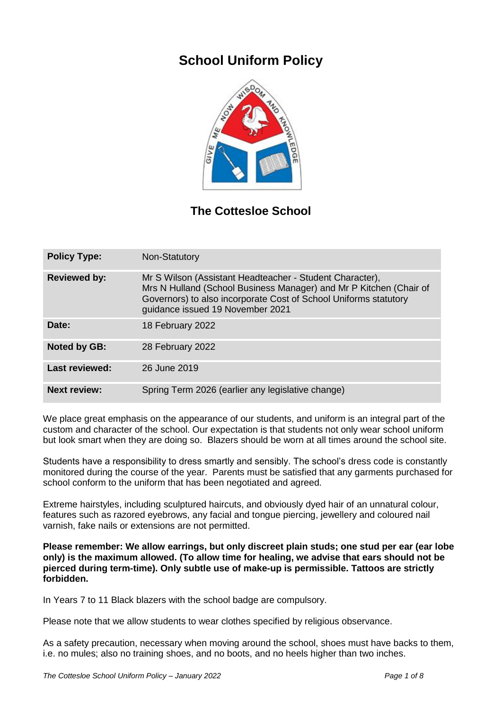# **School Uniform Policy**



## **The Cottesloe School**

| <b>Policy Type:</b>   | Non-Statutory                                                                                                                                                                                                                          |
|-----------------------|----------------------------------------------------------------------------------------------------------------------------------------------------------------------------------------------------------------------------------------|
| <b>Reviewed by:</b>   | Mr S Wilson (Assistant Headteacher - Student Character),<br>Mrs N Hulland (School Business Manager) and Mr P Kitchen (Chair of<br>Governors) to also incorporate Cost of School Uniforms statutory<br>guidance issued 19 November 2021 |
| Date:                 | 18 February 2022                                                                                                                                                                                                                       |
| <b>Noted by GB:</b>   | 28 February 2022                                                                                                                                                                                                                       |
| <b>Last reviewed:</b> | 26 June 2019                                                                                                                                                                                                                           |
| <b>Next review:</b>   | Spring Term 2026 (earlier any legislative change)                                                                                                                                                                                      |

We place great emphasis on the appearance of our students, and uniform is an integral part of the custom and character of the school. Our expectation is that students not only wear school uniform but look smart when they are doing so. Blazers should be worn at all times around the school site.

Students have a responsibility to dress smartly and sensibly. The school's dress code is constantly monitored during the course of the year. Parents must be satisfied that any garments purchased for school conform to the uniform that has been negotiated and agreed.

Extreme hairstyles, including sculptured haircuts, and obviously dyed hair of an unnatural colour, features such as razored eyebrows, any facial and tongue piercing, jewellery and coloured nail varnish, fake nails or extensions are not permitted.

**Please remember: We allow earrings, but only discreet plain studs; one stud per ear (ear lobe only) is the maximum allowed. (To allow time for healing, we advise that ears should not be pierced during term-time). Only subtle use of make-up is permissible. Tattoos are strictly forbidden.**

In Years 7 to 11 Black blazers with the school badge are compulsory.

Please note that we allow students to wear clothes specified by religious observance.

As a safety precaution, necessary when moving around the school, shoes must have backs to them, i.e. no mules; also no training shoes, and no boots, and no heels higher than two inches.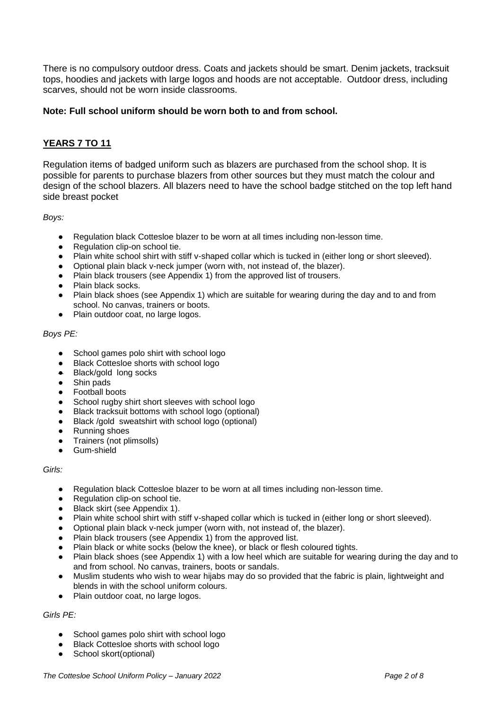There is no compulsory outdoor dress. Coats and jackets should be smart. Denim jackets, tracksuit tops, hoodies and jackets with large logos and hoods are not acceptable. Outdoor dress, including scarves, should not be worn inside classrooms.

#### **Note: Full school uniform should be worn both to and from school.**

## **YEARS 7 TO 11**

Regulation items of badged uniform such as blazers are purchased from the school shop. It is possible for parents to purchase blazers from other sources but they must match the colour and design of the school blazers. All blazers need to have the school badge stitched on the top left hand side breast pocket

*Boys:*

- Regulation black Cottesloe blazer to be worn at all times including non-lesson time.
- Regulation clip-on school tie.
- Plain white school shirt with stiff v-shaped collar which is tucked in (either long or short sleeved).
- Optional plain black v-neck jumper (worn with, not instead of, the blazer).
- Plain black trousers (see Appendix 1) from the approved list of trousers.
- Plain black socks.
- Plain black shoes (see Appendix 1) which are suitable for wearing during the day and to and from school. No canvas, trainers or boots.
- Plain outdoor coat, no large logos.

#### *Boys PE:*

- School games polo shirt with school logo
- Black Cottesloe shorts with school logo
- Black/gold long socks
- Shin pads
- **Football boots**
- School rugby shirt short sleeves with school logo
- Black tracksuit bottoms with school logo (optional)
- Black /gold sweatshirt with school logo (optional)
- Running shoes
- Trainers (not plimsolls)
- Gum-shield

#### *Girls:*

- Regulation black Cottesloe blazer to be worn at all times including non-lesson time.
- Regulation clip-on school tie.
- Black skirt (see Appendix 1).
- Plain white school shirt with stiff v-shaped collar which is tucked in (either long or short sleeved).
- Optional plain black v-neck jumper (worn with, not instead of, the blazer).
- Plain black trousers (see Appendix 1) from the approved list.
- Plain black or white socks (below the knee), or black or flesh coloured tights.
- Plain black shoes (see Appendix 1) with a low heel which are suitable for wearing during the day and to and from school. No canvas, trainers, boots or sandals.
- Muslim students who wish to wear hijabs may do so provided that the fabric is plain, lightweight and blends in with the school uniform colours.
- Plain outdoor coat, no large logos.

*Girls PE:*

- School games polo shirt with school logo
- Black Cottesloe shorts with school logo
- School skort(optional)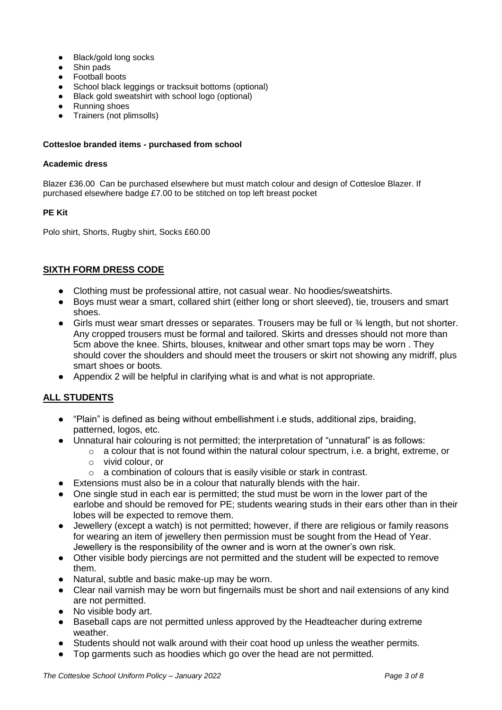- **Black/gold long socks**
- Shin pads
- Football boots
- School black leggings or tracksuit bottoms (optional)
- Black gold sweatshirt with school logo (optional)
- Running shoes
- Trainers (not plimsolls)

#### **Cottesloe branded items - purchased from school**

#### **Academic dress**

Blazer £36.00 Can be purchased elsewhere but must match colour and design of Cottesloe Blazer. If purchased elsewhere badge £7.00 to be stitched on top left breast pocket

#### **PE Kit**

Polo shirt, Shorts, Rugby shirt, Socks £60.00

## **SIXTH FORM DRESS CODE**

- Clothing must be professional attire, not casual wear. No hoodies/sweatshirts.
- Boys must wear a smart, collared shirt (either long or short sleeved), tie, trousers and smart shoes.
- Girls must wear smart dresses or separates. Trousers may be full or ¾ length, but not shorter. Any cropped trousers must be formal and tailored. Skirts and dresses should not more than 5cm above the knee. Shirts, blouses, knitwear and other smart tops may be worn . They should cover the shoulders and should meet the trousers or skirt not showing any midriff, plus smart shoes or boots.
- Appendix 2 will be helpful in clarifying what is and what is not appropriate.

## **ALL STUDENTS**

- "Plain" is defined as being without embellishment i.e studs, additional zips, braiding, patterned, logos, etc.
- Unnatural hair colouring is not permitted; the interpretation of "unnatural" is as follows:
	- $\circ$  a colour that is not found within the natural colour spectrum, i.e. a bright, extreme, or o vivid colour, or
	- o a combination of colours that is easily visible or stark in contrast.
- Extensions must also be in a colour that naturally blends with the hair.
- One single stud in each ear is permitted; the stud must be worn in the lower part of the earlobe and should be removed for PE; students wearing studs in their ears other than in their lobes will be expected to remove them.
- Jewellery (except a watch) is not permitted; however, if there are religious or family reasons for wearing an item of jewellery then permission must be sought from the Head of Year. Jewellery is the responsibility of the owner and is worn at the owner's own risk.
- Other visible body piercings are not permitted and the student will be expected to remove them.
- Natural, subtle and basic make-up may be worn.
- Clear nail varnish may be worn but fingernails must be short and nail extensions of any kind are not permitted.
- No visible body art.
- Baseball caps are not permitted unless approved by the Headteacher during extreme weather.
- Students should not walk around with their coat hood up unless the weather permits.
- Top garments such as hoodies which go over the head are not permitted.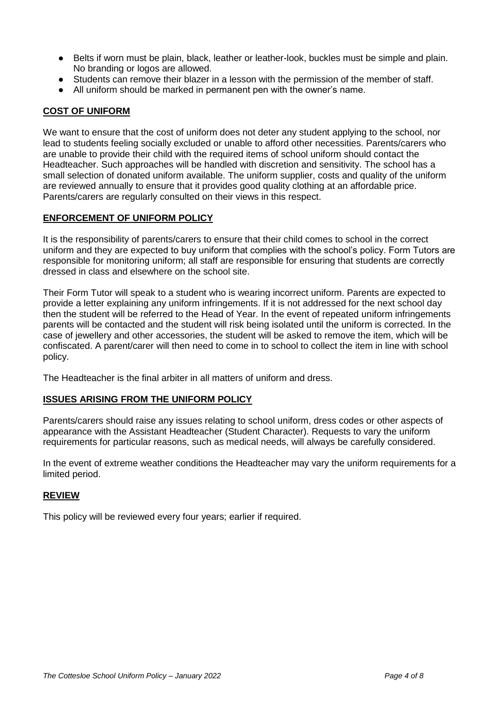- Belts if worn must be plain, black, leather or leather-look, buckles must be simple and plain. No branding or logos are allowed.
- Students can remove their blazer in a lesson with the permission of the member of staff.
- All uniform should be marked in permanent pen with the owner's name.

### **COST OF UNIFORM**

We want to ensure that the cost of uniform does not deter any student applying to the school, nor lead to students feeling socially excluded or unable to afford other necessities. Parents/carers who are unable to provide their child with the required items of school uniform should contact the Headteacher. Such approaches will be handled with discretion and sensitivity. The school has a small selection of donated uniform available. The uniform supplier, costs and quality of the uniform are reviewed annually to ensure that it provides good quality clothing at an affordable price. Parents/carers are regularly consulted on their views in this respect.

#### **ENFORCEMENT OF UNIFORM POLICY**

It is the responsibility of parents/carers to ensure that their child comes to school in the correct uniform and they are expected to buy uniform that complies with the school's policy. Form Tutors are responsible for monitoring uniform; all staff are responsible for ensuring that students are correctly dressed in class and elsewhere on the school site.

Their Form Tutor will speak to a student who is wearing incorrect uniform. Parents are expected to provide a letter explaining any uniform infringements. If it is not addressed for the next school day then the student will be referred to the Head of Year. In the event of repeated uniform infringements parents will be contacted and the student will risk being isolated until the uniform is corrected. In the case of jewellery and other accessories, the student will be asked to remove the item, which will be confiscated. A parent/carer will then need to come in to school to collect the item in line with school policy.

The Headteacher is the final arbiter in all matters of uniform and dress.

#### **ISSUES ARISING FROM THE UNIFORM POLICY**

Parents/carers should raise any issues relating to school uniform, dress codes or other aspects of appearance with the Assistant Headteacher (Student Character). Requests to vary the uniform requirements for particular reasons, such as medical needs, will always be carefully considered.

In the event of extreme weather conditions the Headteacher may vary the uniform requirements for a limited period.

### **REVIEW**

This policy will be reviewed every four years; earlier if required.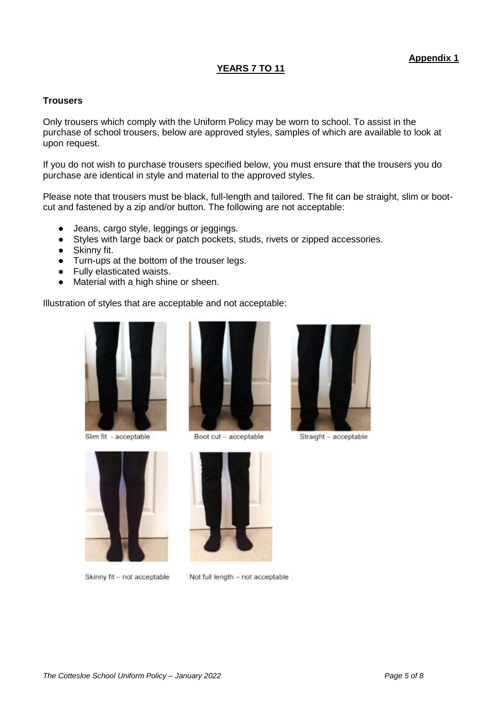## **YEARS 7 TO 11**

### **Trousers**

Only trousers which comply with the Uniform Policy may be worn to school. To assist in the purchase of school trousers, below are approved styles, samples of which are available to look at upon request.

If you do not wish to purchase trousers specified below, you must ensure that the trousers you do purchase are identical in style and material to the approved styles.

Please note that trousers must be black, full-length and tailored. The fit can be straight, slim or bootcut and fastened by a zip and/or button. The following are not acceptable:

- Jeans, cargo style, leggings or jeggings.
- Styles with large back or patch pockets, studs, rivets or zipped accessories.
- Skinny fit.
- Turn-ups at the bottom of the trouser legs.
- Fully elasticated waists.
- Material with a high shine or sheen.

Illustration of styles that are acceptable and not acceptable:



Slim fit - acceptable



Skinny fit - not acceptable



Boot cut - acceptable



Straight - acceptable



Not full length - not acceptable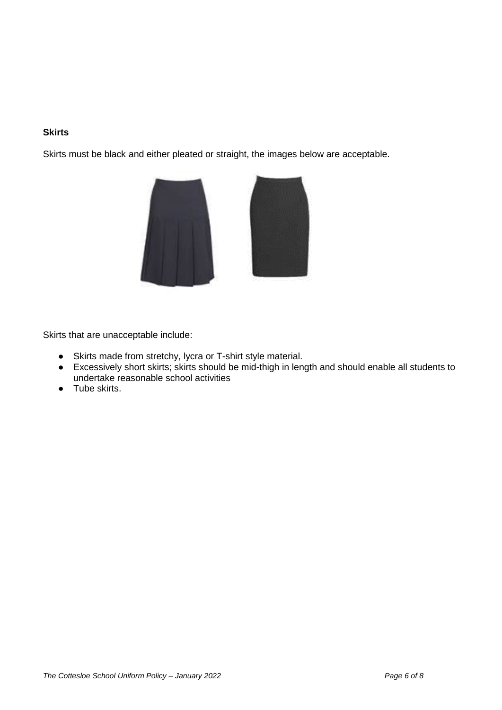## **Skirts**

Skirts must be black and either pleated or straight, the images below are acceptable.



Skirts that are unacceptable include:

- Skirts made from stretchy, lycra or T-shirt style material.
- Excessively short skirts; skirts should be mid-thigh in length and should enable all students to undertake reasonable school activities
- Tube skirts.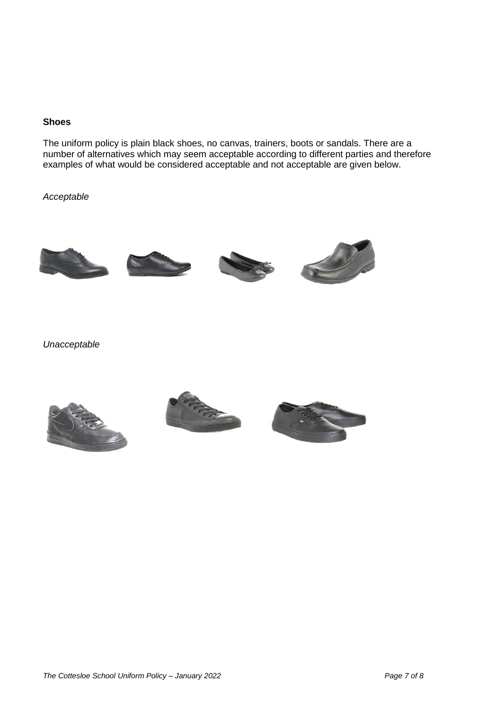#### **Shoes**

The uniform policy is plain black shoes, no canvas, trainers, boots or sandals. There are a number of alternatives which may seem acceptable according to different parties and therefore examples of what would be considered acceptable and not acceptable are given below.

*Acceptable*









*Unacceptable*